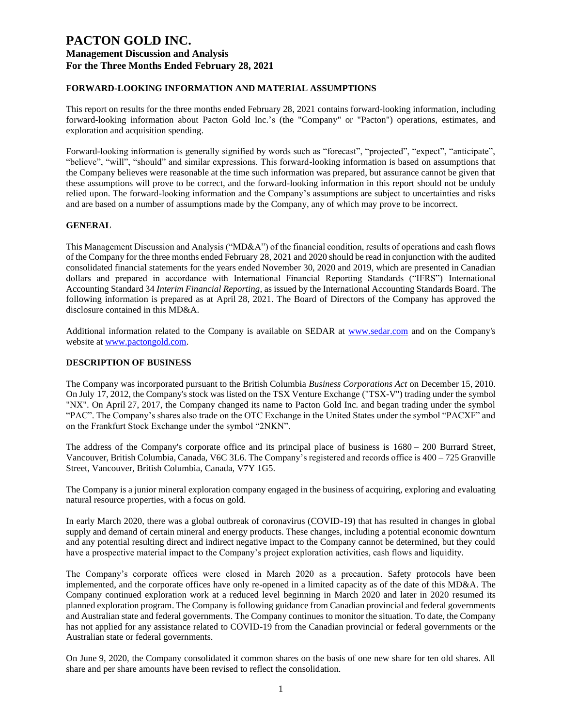### **FORWARD-LOOKING INFORMATION AND MATERIAL ASSUMPTIONS**

This report on results for the three months ended February 28, 2021 contains forward-looking information, including forward-looking information about Pacton Gold Inc.'s (the "Company" or "Pacton") operations, estimates, and exploration and acquisition spending.

Forward-looking information is generally signified by words such as "forecast", "projected", "expect", "anticipate", "believe", "will", "should" and similar expressions. This forward-looking information is based on assumptions that the Company believes were reasonable at the time such information was prepared, but assurance cannot be given that these assumptions will prove to be correct, and the forward-looking information in this report should not be unduly relied upon. The forward-looking information and the Company's assumptions are subject to uncertainties and risks and are based on a number of assumptions made by the Company, any of which may prove to be incorrect.

### **GENERAL**

This Management Discussion and Analysis ("MD&A") of the financial condition, results of operations and cash flows of the Company for the three months ended February 28, 2021 and 2020 should be read in conjunction with the audited consolidated financial statements for the years ended November 30, 2020 and 2019, which are presented in Canadian dollars and prepared in accordance with International Financial Reporting Standards ("IFRS") International Accounting Standard 34 *Interim Financial Reporting*, as issued by the International Accounting Standards Board. The following information is prepared as at April 28, 2021. The Board of Directors of the Company has approved the disclosure contained in this MD&A.

Additional information related to the Company is available on SEDAR at [www.sedar.com](http://www.sedar.com/) and on the Company's website at [www.pactongold.com.](http://www.pactongold.com/)

#### **DESCRIPTION OF BUSINESS**

The Company was incorporated pursuant to the British Columbia *Business Corporations Act* on December 15, 2010. On July 17, 2012, the Company's stock was listed on the TSX Venture Exchange ("TSX-V") trading under the symbol "NX". On April 27, 2017, the Company changed its name to Pacton Gold Inc. and began trading under the symbol "PAC". The Company's shares also trade on the OTC Exchange in the United States under the symbol "PACXF" and on the Frankfurt Stock Exchange under the symbol "2NKN".

The address of the Company's corporate office and its principal place of business is 1680 – 200 Burrard Street, Vancouver, British Columbia, Canada, V6C 3L6. The Company's registered and records office is 400 – 725 Granville Street, Vancouver, British Columbia, Canada, V7Y 1G5.

The Company is a junior mineral exploration company engaged in the business of acquiring, exploring and evaluating natural resource properties, with a focus on gold.

In early March 2020, there was a global outbreak of coronavirus (COVID-19) that has resulted in changes in global supply and demand of certain mineral and energy products. These changes, including a potential economic downturn and any potential resulting direct and indirect negative impact to the Company cannot be determined, but they could have a prospective material impact to the Company's project exploration activities, cash flows and liquidity.

The Company's corporate offices were closed in March 2020 as a precaution. Safety protocols have been implemented, and the corporate offices have only re-opened in a limited capacity as of the date of this MD&A. The Company continued exploration work at a reduced level beginning in March 2020 and later in 2020 resumed its planned exploration program. The Company is following guidance from Canadian provincial and federal governments and Australian state and federal governments. The Company continues to monitor the situation. To date, the Company has not applied for any assistance related to COVID-19 from the Canadian provincial or federal governments or the Australian state or federal governments.

On June 9, 2020, the Company consolidated it common shares on the basis of one new share for ten old shares. All share and per share amounts have been revised to reflect the consolidation.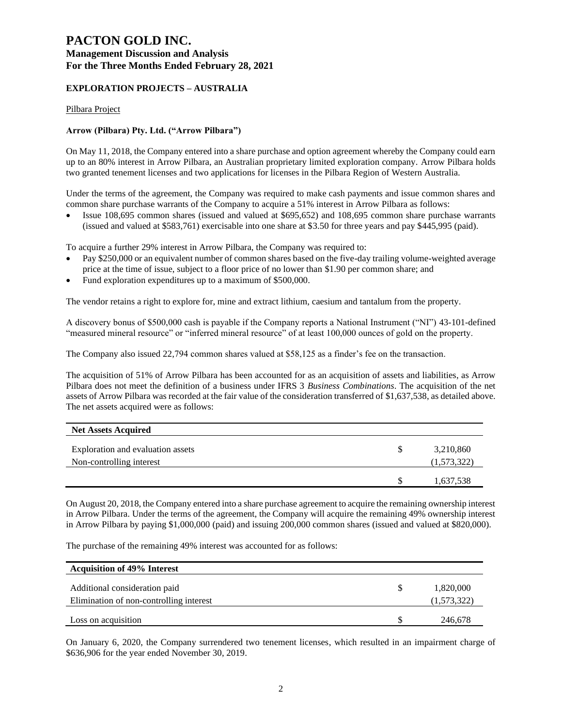# **PACTON GOLD INC. Management Discussion and Analysis**

### **For the Three Months Ended February 28, 2021**

## **EXPLORATION PROJECTS – AUSTRALIA**

#### Pilbara Project

#### **Arrow (Pilbara) Pty. Ltd. ("Arrow Pilbara")**

On May 11, 2018, the Company entered into a share purchase and option agreement whereby the Company could earn up to an 80% interest in Arrow Pilbara, an Australian proprietary limited exploration company. Arrow Pilbara holds two granted tenement licenses and two applications for licenses in the Pilbara Region of Western Australia.

Under the terms of the agreement, the Company was required to make cash payments and issue common shares and common share purchase warrants of the Company to acquire a 51% interest in Arrow Pilbara as follows:

• Issue 108,695 common shares (issued and valued at \$695,652) and 108,695 common share purchase warrants (issued and valued at \$583,761) exercisable into one share at \$3.50 for three years and pay \$445,995 (paid).

To acquire a further 29% interest in Arrow Pilbara, the Company was required to:

- Pay \$250,000 or an equivalent number of common shares based on the five-day trailing volume-weighted average price at the time of issue, subject to a floor price of no lower than \$1.90 per common share; and
- Fund exploration expenditures up to a maximum of \$500,000.

The vendor retains a right to explore for, mine and extract lithium, caesium and tantalum from the property.

A discovery bonus of \$500,000 cash is payable if the Company reports a National Instrument ("NI") 43-101-defined "measured mineral resource" or "inferred mineral resource" of at least 100,000 ounces of gold on the property.

The Company also issued 22,794 common shares valued at \$58,125 as a finder's fee on the transaction.

The acquisition of 51% of Arrow Pilbara has been accounted for as an acquisition of assets and liabilities, as Arrow Pilbara does not meet the definition of a business under IFRS 3 *Business Combinations*. The acquisition of the net assets of Arrow Pilbara was recorded at the fair value of the consideration transferred of \$1,637,538, as detailed above. The net assets acquired were as follows:

| <b>Net Assets Acquired</b>                                    |   |                          |
|---------------------------------------------------------------|---|--------------------------|
| Exploration and evaluation assets<br>Non-controlling interest | S | 3,210,860<br>(1,573,322) |
|                                                               |   | 1,637,538                |

On August 20, 2018, the Company entered into a share purchase agreement to acquire the remaining ownership interest in Arrow Pilbara. Under the terms of the agreement, the Company will acquire the remaining 49% ownership interest in Arrow Pilbara by paying \$1,000,000 (paid) and issuing 200,000 common shares (issued and valued at \$820,000).

The purchase of the remaining 49% interest was accounted for as follows:

| <b>Acquisition of 49% Interest</b>                                       |                          |
|--------------------------------------------------------------------------|--------------------------|
| Additional consideration paid<br>Elimination of non-controlling interest | 1,820,000<br>(1,573,322) |
| Loss on acquisition                                                      | 246,678                  |

On January 6, 2020, the Company surrendered two tenement licenses, which resulted in an impairment charge of \$636,906 for the year ended November 30, 2019.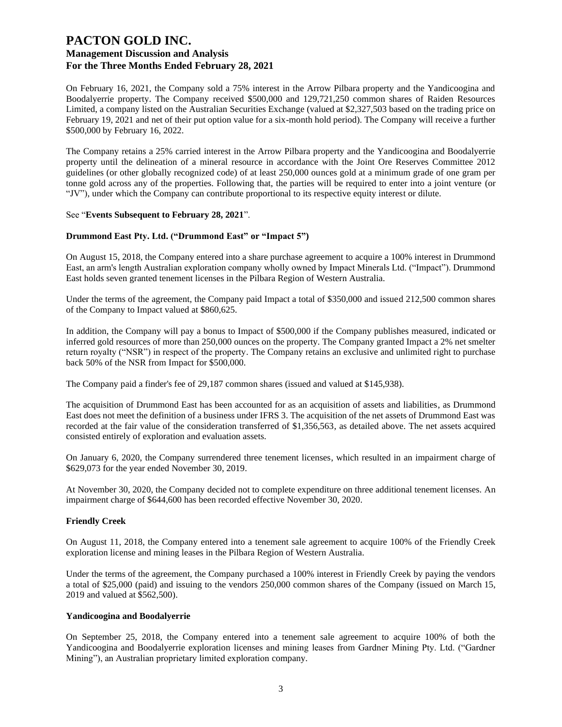On February 16, 2021, the Company sold a 75% interest in the Arrow Pilbara property and the Yandicoogina and Boodalyerrie property. The Company received \$500,000 and 129,721,250 common shares of Raiden Resources Limited, a company listed on the Australian Securities Exchange (valued at \$2,327,503 based on the trading price on February 19, 2021 and net of their put option value for a six-month hold period). The Company will receive a further \$500,000 by February 16, 2022.

The Company retains a 25% carried interest in the Arrow Pilbara property and the Yandicoogina and Boodalyerrie property until the delineation of a mineral resource in accordance with the Joint Ore Reserves Committee 2012 guidelines (or other globally recognized code) of at least 250,000 ounces gold at a minimum grade of one gram per tonne gold across any of the properties. Following that, the parties will be required to enter into a joint venture (or "JV"), under which the Company can contribute proportional to its respective equity interest or dilute.

#### See "**Events Subsequent to February 28, 2021**".

#### **Drummond East Pty. Ltd. ("Drummond East" or "Impact 5")**

On August 15, 2018, the Company entered into a share purchase agreement to acquire a 100% interest in Drummond East, an arm's length Australian exploration company wholly owned by Impact Minerals Ltd. ("Impact"). Drummond East holds seven granted tenement licenses in the Pilbara Region of Western Australia.

Under the terms of the agreement, the Company paid Impact a total of \$350,000 and issued 212,500 common shares of the Company to Impact valued at \$860,625.

In addition, the Company will pay a bonus to Impact of \$500,000 if the Company publishes measured, indicated or inferred gold resources of more than 250,000 ounces on the property. The Company granted Impact a 2% net smelter return royalty ("NSR") in respect of the property. The Company retains an exclusive and unlimited right to purchase back 50% of the NSR from Impact for \$500,000.

The Company paid a finder's fee of 29,187 common shares (issued and valued at \$145,938).

The acquisition of Drummond East has been accounted for as an acquisition of assets and liabilities, as Drummond East does not meet the definition of a business under IFRS 3. The acquisition of the net assets of Drummond East was recorded at the fair value of the consideration transferred of \$1,356,563, as detailed above. The net assets acquired consisted entirely of exploration and evaluation assets.

On January 6, 2020, the Company surrendered three tenement licenses, which resulted in an impairment charge of \$629,073 for the year ended November 30, 2019.

At November 30, 2020, the Company decided not to complete expenditure on three additional tenement licenses. An impairment charge of \$644,600 has been recorded effective November 30, 2020.

#### **Friendly Creek**

On August 11, 2018, the Company entered into a tenement sale agreement to acquire 100% of the Friendly Creek exploration license and mining leases in the Pilbara Region of Western Australia.

Under the terms of the agreement, the Company purchased a 100% interest in Friendly Creek by paying the vendors a total of \$25,000 (paid) and issuing to the vendors 250,000 common shares of the Company (issued on March 15, 2019 and valued at \$562,500).

#### **Yandicoogina and Boodalyerrie**

On September 25, 2018, the Company entered into a tenement sale agreement to acquire 100% of both the Yandicoogina and Boodalyerrie exploration licenses and mining leases from Gardner Mining Pty. Ltd. ("Gardner Mining"), an Australian proprietary limited exploration company.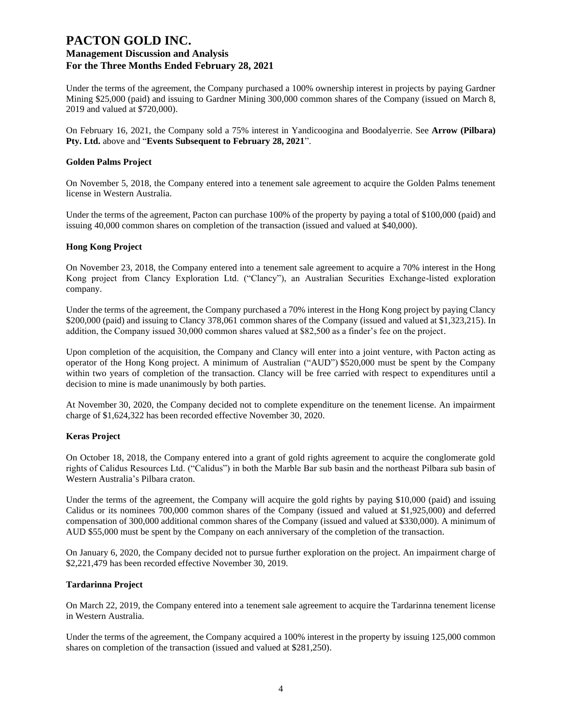Under the terms of the agreement, the Company purchased a 100% ownership interest in projects by paying Gardner Mining \$25,000 (paid) and issuing to Gardner Mining 300,000 common shares of the Company (issued on March 8, 2019 and valued at \$720,000).

On February 16, 2021, the Company sold a 75% interest in Yandicoogina and Boodalyerrie. See **Arrow (Pilbara) Pty. Ltd.** above and "**Events Subsequent to February 28, 2021**".

#### **Golden Palms Project**

On November 5, 2018, the Company entered into a tenement sale agreement to acquire the Golden Palms tenement license in Western Australia.

Under the terms of the agreement, Pacton can purchase 100% of the property by paying a total of \$100,000 (paid) and issuing 40,000 common shares on completion of the transaction (issued and valued at \$40,000).

#### **Hong Kong Project**

On November 23, 2018, the Company entered into a tenement sale agreement to acquire a 70% interest in the Hong Kong project from Clancy Exploration Ltd. ("Clancy"), an Australian Securities Exchange-listed exploration company.

Under the terms of the agreement, the Company purchased a 70% interest in the Hong Kong project by paying Clancy \$200,000 (paid) and issuing to Clancy 378,061 common shares of the Company (issued and valued at \$1,323,215). In addition, the Company issued 30,000 common shares valued at \$82,500 as a finder's fee on the project.

Upon completion of the acquisition, the Company and Clancy will enter into a joint venture, with Pacton acting as operator of the Hong Kong project. A minimum of Australian ("AUD") \$520,000 must be spent by the Company within two years of completion of the transaction. Clancy will be free carried with respect to expenditures until a decision to mine is made unanimously by both parties.

At November 30, 2020, the Company decided not to complete expenditure on the tenement license. An impairment charge of \$1,624,322 has been recorded effective November 30, 2020.

#### **Keras Project**

On October 18, 2018, the Company entered into a grant of gold rights agreement to acquire the conglomerate gold rights of Calidus Resources Ltd. ("Calidus") in both the Marble Bar sub basin and the northeast Pilbara sub basin of Western Australia's Pilbara craton.

Under the terms of the agreement, the Company will acquire the gold rights by paying \$10,000 (paid) and issuing Calidus or its nominees 700,000 common shares of the Company (issued and valued at \$1,925,000) and deferred compensation of 300,000 additional common shares of the Company (issued and valued at \$330,000). A minimum of AUD \$55,000 must be spent by the Company on each anniversary of the completion of the transaction.

On January 6, 2020, the Company decided not to pursue further exploration on the project. An impairment charge of \$2,221,479 has been recorded effective November 30, 2019.

#### **Tardarinna Project**

On March 22, 2019, the Company entered into a tenement sale agreement to acquire the Tardarinna tenement license in Western Australia.

Under the terms of the agreement, the Company acquired a 100% interest in the property by issuing 125,000 common shares on completion of the transaction (issued and valued at \$281,250).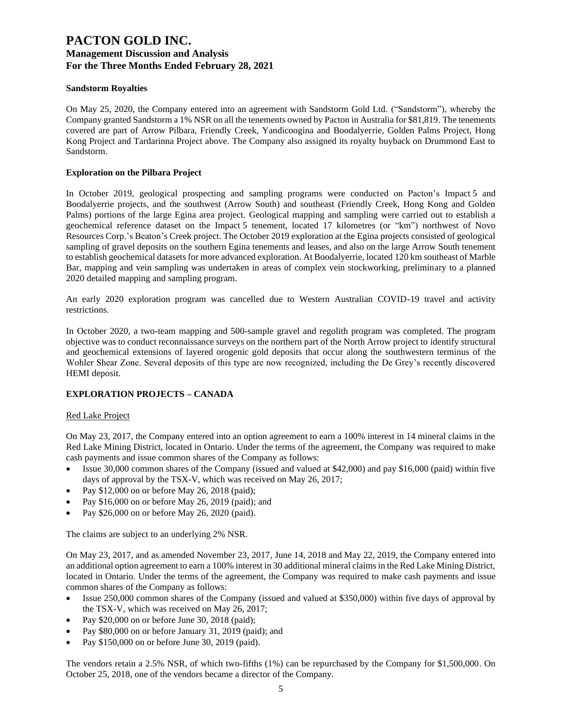### **Sandstorm Royalties**

On May 25, 2020, the Company entered into an agreement with Sandstorm Gold Ltd. ("Sandstorm"), whereby the Company granted Sandstorm a 1% NSR on all the tenements owned by Pacton in Australia for \$81,819. The tenements covered are part of Arrow Pilbara, Friendly Creek, Yandicoogina and Boodalyerrie, Golden Palms Project, Hong Kong Project and Tardarinna Project above. The Company also assigned its royalty buyback on Drummond East to Sandstorm.

#### **Exploration on the Pilbara Project**

In October 2019, geological prospecting and sampling programs were conducted on Pacton's Impact 5 and Boodalyerrie projects, and the southwest (Arrow South) and southeast (Friendly Creek, Hong Kong and Golden Palms) portions of the large Egina area project. Geological mapping and sampling were carried out to establish a geochemical reference dataset on the Impact 5 tenement, located 17 kilometres (or "km") northwest of Novo Resources Corp.'s Beaton's Creek project. The October 2019 exploration at the Egina projects consisted of geological sampling of gravel deposits on the southern Egina tenements and leases, and also on the large Arrow South tenement to establish geochemical datasets for more advanced exploration. At Boodalyerrie, located 120 km southeast of Marble Bar, mapping and vein sampling was undertaken in areas of complex vein stockworking, preliminary to a planned 2020 detailed mapping and sampling program.

An early 2020 exploration program was cancelled due to Western Australian COVID-19 travel and activity restrictions.

In October 2020, a two-team mapping and 500-sample gravel and regolith program was completed. The program objective was to conduct reconnaissance surveys on the northern part of the North Arrow project to identify structural and geochemical extensions of layered orogenic gold deposits that occur along the southwestern terminus of the Wohler Shear Zone. Several deposits of this type are now recognized, including the De Grey's recently discovered HEMI deposit.

### **EXPLORATION PROJECTS – CANADA**

### Red Lake Project

On May 23, 2017, the Company entered into an option agreement to earn a 100% interest in 14 mineral claims in the Red Lake Mining District, located in Ontario. Under the terms of the agreement, the Company was required to make cash payments and issue common shares of the Company as follows:

- Issue 30,000 common shares of the Company (issued and valued at \$42,000) and pay \$16,000 (paid) within five days of approval by the TSX-V, which was received on May 26, 2017;
- Pay \$12,000 on or before May 26, 2018 (paid);
- Pay \$16,000 on or before May 26, 2019 (paid); and
- Pay \$26,000 on or before May 26, 2020 (paid).

The claims are subject to an underlying 2% NSR.

On May 23, 2017, and as amended November 23, 2017, June 14, 2018 and May 22, 2019, the Company entered into an additional option agreement to earn a 100% interest in 30 additional mineral claims in the Red Lake Mining District, located in Ontario. Under the terms of the agreement, the Company was required to make cash payments and issue common shares of the Company as follows:

- Issue 250,000 common shares of the Company (issued and valued at \$350,000) within five days of approval by the TSX-V, which was received on May 26, 2017;
- Pay \$20,000 on or before June 30, 2018 (paid);
- Pay \$80,000 on or before January 31, 2019 (paid); and
- Pay  $$150,000$  on or before June 30, 2019 (paid).

The vendors retain a 2.5% NSR, of which two-fifths (1%) can be repurchased by the Company for \$1,500,000. On October 25, 2018, one of the vendors became a director of the Company.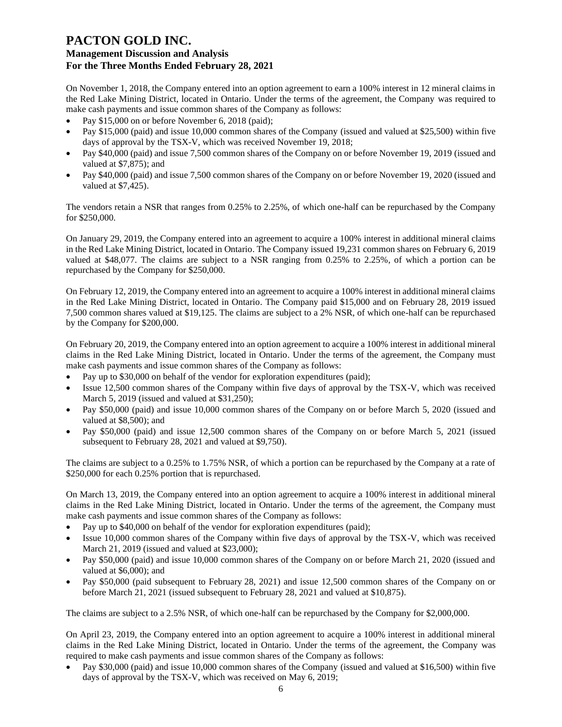On November 1, 2018, the Company entered into an option agreement to earn a 100% interest in 12 mineral claims in the Red Lake Mining District, located in Ontario. Under the terms of the agreement, the Company was required to make cash payments and issue common shares of the Company as follows:

- Pay \$15,000 on or before November 6, 2018 (paid);
- Pay \$15,000 (paid) and issue 10,000 common shares of the Company (issued and valued at \$25,500) within five days of approval by the TSX-V, which was received November 19, 2018;
- Pay \$40,000 (paid) and issue 7,500 common shares of the Company on or before November 19, 2019 (issued and valued at \$7,875); and
- Pay \$40,000 (paid) and issue 7,500 common shares of the Company on or before November 19, 2020 (issued and valued at \$7,425).

The vendors retain a NSR that ranges from 0.25% to 2.25%, of which one-half can be repurchased by the Company for \$250,000.

On January 29, 2019, the Company entered into an agreement to acquire a 100% interest in additional mineral claims in the Red Lake Mining District, located in Ontario. The Company issued 19,231 common shares on February 6, 2019 valued at \$48,077. The claims are subject to a NSR ranging from 0.25% to 2.25%, of which a portion can be repurchased by the Company for \$250,000.

On February 12, 2019, the Company entered into an agreement to acquire a 100% interest in additional mineral claims in the Red Lake Mining District, located in Ontario. The Company paid \$15,000 and on February 28, 2019 issued 7,500 common shares valued at \$19,125. The claims are subject to a 2% NSR, of which one-half can be repurchased by the Company for \$200,000.

On February 20, 2019, the Company entered into an option agreement to acquire a 100% interest in additional mineral claims in the Red Lake Mining District, located in Ontario. Under the terms of the agreement, the Company must make cash payments and issue common shares of the Company as follows:

- Pay up to \$30,000 on behalf of the vendor for exploration expenditures (paid);
- Issue 12,500 common shares of the Company within five days of approval by the TSX-V, which was received March 5, 2019 (issued and valued at \$31,250);
- Pay \$50,000 (paid) and issue 10,000 common shares of the Company on or before March 5, 2020 (issued and valued at \$8,500); and
- Pay \$50,000 (paid) and issue 12,500 common shares of the Company on or before March 5, 2021 (issued subsequent to February 28, 2021 and valued at \$9,750).

The claims are subject to a 0.25% to 1.75% NSR, of which a portion can be repurchased by the Company at a rate of \$250,000 for each 0.25% portion that is repurchased.

On March 13, 2019, the Company entered into an option agreement to acquire a 100% interest in additional mineral claims in the Red Lake Mining District, located in Ontario. Under the terms of the agreement, the Company must make cash payments and issue common shares of the Company as follows:

- Pay up to \$40,000 on behalf of the vendor for exploration expenditures (paid);
- Issue 10,000 common shares of the Company within five days of approval by the TSX-V, which was received March 21, 2019 (issued and valued at \$23,000);
- Pay \$50,000 (paid) and issue 10,000 common shares of the Company on or before March 21, 2020 (issued and valued at \$6,000); and
- Pay \$50,000 (paid subsequent to February 28, 2021) and issue 12,500 common shares of the Company on or before March 21, 2021 (issued subsequent to February 28, 2021 and valued at \$10,875).

The claims are subject to a 2.5% NSR, of which one-half can be repurchased by the Company for \$2,000,000.

On April 23, 2019, the Company entered into an option agreement to acquire a 100% interest in additional mineral claims in the Red Lake Mining District, located in Ontario. Under the terms of the agreement, the Company was required to make cash payments and issue common shares of the Company as follows:

• Pay \$30,000 (paid) and issue 10,000 common shares of the Company (issued and valued at \$16,500) within five days of approval by the TSX-V, which was received on May 6, 2019;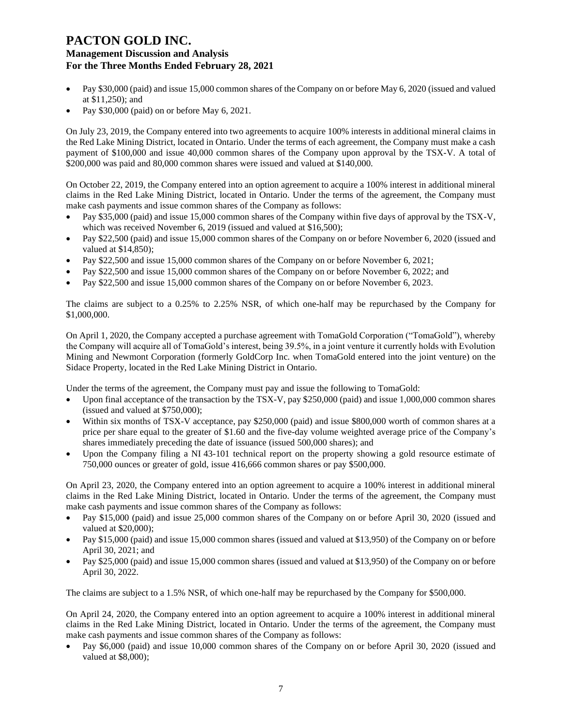- Pay \$30,000 (paid) and issue 15,000 common shares of the Company on or before May 6, 2020 (issued and valued at \$11,250); and
- Pay \$30,000 (paid) on or before May 6, 2021.

On July 23, 2019, the Company entered into two agreements to acquire 100% interests in additional mineral claims in the Red Lake Mining District, located in Ontario. Under the terms of each agreement, the Company must make a cash payment of \$100,000 and issue 40,000 common shares of the Company upon approval by the TSX-V. A total of \$200,000 was paid and 80,000 common shares were issued and valued at \$140,000.

On October 22, 2019, the Company entered into an option agreement to acquire a 100% interest in additional mineral claims in the Red Lake Mining District, located in Ontario. Under the terms of the agreement, the Company must make cash payments and issue common shares of the Company as follows:

- Pay \$35,000 (paid) and issue 15,000 common shares of the Company within five days of approval by the TSX-V, which was received November 6, 2019 (issued and valued at \$16,500);
- Pay \$22,500 (paid) and issue 15,000 common shares of the Company on or before November 6, 2020 (issued and valued at \$14,850);
- Pay \$22,500 and issue 15,000 common shares of the Company on or before November 6, 2021;
- Pay \$22,500 and issue 15,000 common shares of the Company on or before November 6, 2022; and
- Pay \$22,500 and issue 15,000 common shares of the Company on or before November 6, 2023.

The claims are subject to a 0.25% to 2.25% NSR, of which one-half may be repurchased by the Company for \$1,000,000.

On April 1, 2020, the Company accepted a purchase agreement with TomaGold Corporation ("TomaGold"), whereby the Company will acquire all of TomaGold's interest, being 39.5%, in a joint venture it currently holds with Evolution Mining and Newmont Corporation (formerly GoldCorp Inc. when TomaGold entered into the joint venture) on the Sidace Property, located in the Red Lake Mining District in Ontario.

Under the terms of the agreement, the Company must pay and issue the following to TomaGold:

- Upon final acceptance of the transaction by the TSX-V, pay \$250,000 (paid) and issue 1,000,000 common shares (issued and valued at \$750,000);
- Within six months of TSX-V acceptance, pay \$250,000 (paid) and issue \$800,000 worth of common shares at a price per share equal to the greater of \$1.60 and the five-day volume weighted average price of the Company's shares immediately preceding the date of issuance (issued 500,000 shares); and
- Upon the Company filing a NI 43-101 technical report on the property showing a gold resource estimate of 750,000 ounces or greater of gold, issue 416,666 common shares or pay \$500,000.

On April 23, 2020, the Company entered into an option agreement to acquire a 100% interest in additional mineral claims in the Red Lake Mining District, located in Ontario. Under the terms of the agreement, the Company must make cash payments and issue common shares of the Company as follows:

- Pay \$15,000 (paid) and issue 25,000 common shares of the Company on or before April 30, 2020 (issued and valued at \$20,000);
- Pay \$15,000 (paid) and issue 15,000 common shares (issued and valued at \$13,950) of the Company on or before April 30, 2021; and
- Pay \$25,000 (paid) and issue 15,000 common shares (issued and valued at \$13,950) of the Company on or before April 30, 2022.

The claims are subject to a 1.5% NSR, of which one-half may be repurchased by the Company for \$500,000.

On April 24, 2020, the Company entered into an option agreement to acquire a 100% interest in additional mineral claims in the Red Lake Mining District, located in Ontario. Under the terms of the agreement, the Company must make cash payments and issue common shares of the Company as follows:

• Pay \$6,000 (paid) and issue 10,000 common shares of the Company on or before April 30, 2020 (issued and valued at \$8,000);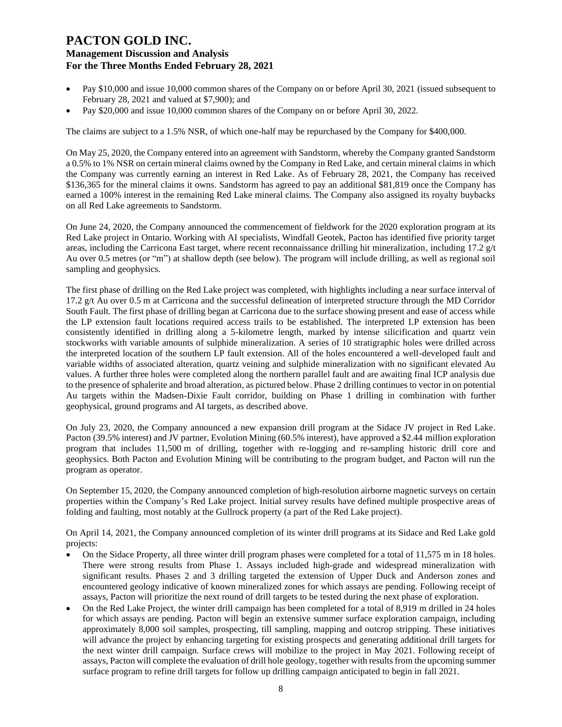- Pay \$10,000 and issue 10,000 common shares of the Company on or before April 30, 2021 (issued subsequent to February 28, 2021 and valued at \$7,900); and
- Pay \$20,000 and issue 10,000 common shares of the Company on or before April 30, 2022.

The claims are subject to a 1.5% NSR, of which one-half may be repurchased by the Company for \$400,000.

On May 25, 2020, the Company entered into an agreement with Sandstorm, whereby the Company granted Sandstorm a 0.5% to 1% NSR on certain mineral claims owned by the Company in Red Lake, and certain mineral claims in which the Company was currently earning an interest in Red Lake. As of February 28, 2021, the Company has received \$136,365 for the mineral claims it owns. Sandstorm has agreed to pay an additional \$81,819 once the Company has earned a 100% interest in the remaining Red Lake mineral claims. The Company also assigned its royalty buybacks on all Red Lake agreements to Sandstorm.

On June 24, 2020, the Company announced the commencement of fieldwork for the 2020 exploration program at its Red Lake project in Ontario. Working with AI specialists, Windfall Geotek, Pacton has identified five priority target areas, including the Carricona East target, where recent reconnaissance drilling hit mineralization, including 17.2 g/t Au over 0.5 metres (or "m") at shallow depth (see below). The program will include drilling, as well as regional soil sampling and geophysics.

The first phase of drilling on the Red Lake project was completed, with highlights including a near surface interval of 17.2 g/t Au over 0.5 m at Carricona and the successful delineation of interpreted structure through the MD Corridor South Fault. The first phase of drilling began at Carricona due to the surface showing present and ease of access while the LP extension fault locations required access trails to be established. The interpreted LP extension has been consistently identified in drilling along a 5-kilometre length, marked by intense silicification and quartz vein stockworks with variable amounts of sulphide mineralization. A series of 10 stratigraphic holes were drilled across the interpreted location of the southern LP fault extension. All of the holes encountered a well-developed fault and variable widths of associated alteration, quartz veining and sulphide mineralization with no significant elevated Au values. A further three holes were completed along the northern parallel fault and are awaiting final ICP analysis due to the presence of sphalerite and broad alteration, as pictured below. Phase 2 drilling continues to vector in on potential Au targets within the Madsen-Dixie Fault corridor, building on Phase 1 drilling in combination with further geophysical, ground programs and AI targets, as described above.

On July 23, 2020, the Company announced a new expansion drill program at the Sidace JV project in Red Lake. Pacton (39.5% interest) and JV partner, Evolution Mining (60.5% interest), have approved a \$2.44 million exploration program that includes 11,500 m of drilling, together with re-logging and re-sampling historic drill core and geophysics. Both Pacton and Evolution Mining will be contributing to the program budget, and Pacton will run the program as operator.

On September 15, 2020, the Company announced completion of high-resolution airborne magnetic surveys on certain properties within the Company's Red Lake project. Initial survey results have defined multiple prospective areas of folding and faulting, most notably at the Gullrock property (a part of the Red Lake project).

On April 14, 2021, the Company announced completion of its winter drill programs at its Sidace and Red Lake gold projects:

- On the Sidace Property, all three winter drill program phases were completed for a total of 11,575 m in 18 holes. There were strong results from Phase 1. Assays included high-grade and widespread mineralization with significant results. Phases 2 and 3 drilling targeted the extension of Upper Duck and Anderson zones and encountered geology indicative of known mineralized zones for which assays are pending. Following receipt of assays, Pacton will prioritize the next round of drill targets to be tested during the next phase of exploration.
- On the Red Lake Project, the winter drill campaign has been completed for a total of 8,919 m drilled in 24 holes for which assays are pending. Pacton will begin an extensive summer surface exploration campaign, including approximately 8,000 soil samples, prospecting, till sampling, mapping and outcrop stripping. These initiatives will advance the project by enhancing targeting for existing prospects and generating additional drill targets for the next winter drill campaign. Surface crews will mobilize to the project in May 2021. Following receipt of assays, Pacton will complete the evaluation of drill hole geology, together with results from the upcoming summer surface program to refine drill targets for follow up drilling campaign anticipated to begin in fall 2021.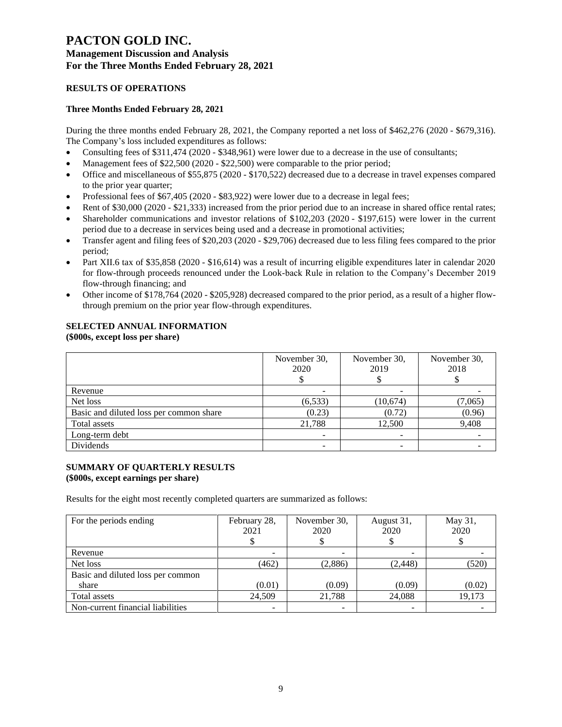## **RESULTS OF OPERATIONS**

### **Three Months Ended February 28, 2021**

During the three months ended February 28, 2021, the Company reported a net loss of \$462,276 (2020 - \$679,316). The Company's loss included expenditures as follows:

- Consulting fees of \$311,474 (2020 \$348,961) were lower due to a decrease in the use of consultants;
- Management fees of \$22,500 (2020 \$22,500) were comparable to the prior period;
- Office and miscellaneous of \$55,875 (2020 \$170,522) decreased due to a decrease in travel expenses compared to the prior year quarter;
- Professional fees of \$67,405 (2020 \$83,922) were lower due to a decrease in legal fees;
- Rent of \$30,000 (2020 \$21,333) increased from the prior period due to an increase in shared office rental rates;
- Shareholder communications and investor relations of \$102,203 (2020 \$197,615) were lower in the current period due to a decrease in services being used and a decrease in promotional activities;
- Transfer agent and filing fees of \$20,203 (2020 \$29,706) decreased due to less filing fees compared to the prior period;
- Part XII.6 tax of \$35,858 (2020 \$16,614) was a result of incurring eligible expenditures later in calendar 2020 for flow-through proceeds renounced under the Look-back Rule in relation to the Company's December 2019 flow-through financing; and
- Other income of \$178,764 (2020 \$205,928) decreased compared to the prior period, as a result of a higher flowthrough premium on the prior year flow-through expenditures.

## **SELECTED ANNUAL INFORMATION**

#### **(\$000s, except loss per share)**

|                                         | November 30,<br>2020 | November 30,<br>2019 | November 30,<br>2018 |
|-----------------------------------------|----------------------|----------------------|----------------------|
| Revenue                                 |                      |                      |                      |
| Net loss                                | (6, 533)             | (10, 674)            | (7,065)              |
| Basic and diluted loss per common share | (0.23)               | (0.72)               | (0.96)               |
| Total assets                            | 21,788               | 12,500               | 9,408                |
| Long-term debt                          |                      |                      |                      |
| Dividends                               |                      |                      |                      |

#### **SUMMARY OF QUARTERLY RESULTS (\$000s, except earnings per share)**

Results for the eight most recently completed quarters are summarized as follows:

| For the periods ending            | February 28,<br>2021 | November 30,<br>2020 | August 31,<br>2020 | May 31,<br>2020 |
|-----------------------------------|----------------------|----------------------|--------------------|-----------------|
| Revenue                           |                      |                      |                    |                 |
| Net loss                          | (462)                | (2,886)              | (2, 448)           | (520)           |
| Basic and diluted loss per common |                      |                      |                    |                 |
| share                             | (0.01)               | (0.09)               | (0.09)             | (0.02)          |
| Total assets                      | 24.509               | 21,788               | 24,088             | 19,173          |
| Non-current financial liabilities |                      |                      |                    |                 |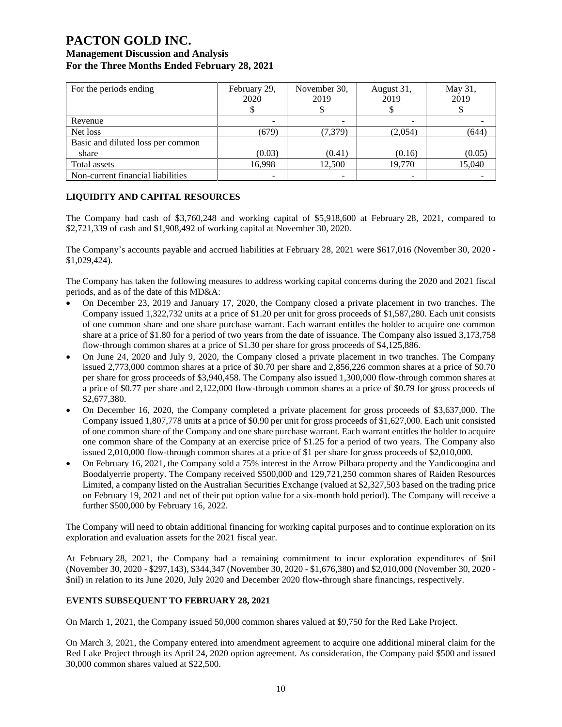# **PACTON GOLD INC.**

## **Management Discussion and Analysis For the Three Months Ended February 28, 2021**

| For the periods ending            | February 29,<br>2020 | November 30,<br>2019 | August 31,<br>2019 | May 31,<br>2019 |
|-----------------------------------|----------------------|----------------------|--------------------|-----------------|
| Revenue                           |                      |                      |                    |                 |
| Net loss                          | (679)                | (7, 379)             | (2,054)            | (644)           |
| Basic and diluted loss per common |                      |                      |                    |                 |
| share                             | (0.03)               | (0.41)               | (0.16)             | (0.05)          |
| Total assets                      | 16,998               | 12.500               | 19.770             | 15,040          |
| Non-current financial liabilities |                      |                      |                    |                 |

## **LIQUIDITY AND CAPITAL RESOURCES**

The Company had cash of \$3,760,248 and working capital of \$5,918,600 at February 28, 2021, compared to \$2,721,339 of cash and \$1,908,492 of working capital at November 30, 2020.

The Company's accounts payable and accrued liabilities at February 28, 2021 were \$617,016 (November 30, 2020 - \$1,029,424).

The Company has taken the following measures to address working capital concerns during the 2020 and 2021 fiscal periods, and as of the date of this MD&A:

- On December 23, 2019 and January 17, 2020, the Company closed a private placement in two tranches. The Company issued 1,322,732 units at a price of \$1.20 per unit for gross proceeds of \$1,587,280. Each unit consists of one common share and one share purchase warrant. Each warrant entitles the holder to acquire one common share at a price of \$1.80 for a period of two years from the date of issuance. The Company also issued 3,173,758 flow-through common shares at a price of \$1.30 per share for gross proceeds of \$4,125,886.
- On June 24, 2020 and July 9, 2020, the Company closed a private placement in two tranches. The Company issued 2,773,000 common shares at a price of \$0.70 per share and 2,856,226 common shares at a price of \$0.70 per share for gross proceeds of \$3,940,458. The Company also issued 1,300,000 flow-through common shares at a price of \$0.77 per share and 2,122,000 flow-through common shares at a price of \$0.79 for gross proceeds of \$2,677,380.
- On December 16, 2020, the Company completed a private placement for gross proceeds of \$3,637,000. The Company issued 1,807,778 units at a price of \$0.90 per unit for gross proceeds of \$1,627,000. Each unit consisted of one common share of the Company and one share purchase warrant. Each warrant entitles the holder to acquire one common share of the Company at an exercise price of \$1.25 for a period of two years. The Company also issued 2,010,000 flow-through common shares at a price of \$1 per share for gross proceeds of \$2,010,000.
- On February 16, 2021, the Company sold a 75% interest in the Arrow Pilbara property and the Yandicoogina and Boodalyerrie property. The Company received \$500,000 and 129,721,250 common shares of Raiden Resources Limited, a company listed on the Australian Securities Exchange (valued at \$2,327,503 based on the trading price on February 19, 2021 and net of their put option value for a six-month hold period). The Company will receive a further \$500,000 by February 16, 2022.

The Company will need to obtain additional financing for working capital purposes and to continue exploration on its exploration and evaluation assets for the 2021 fiscal year.

At February 28, 2021, the Company had a remaining commitment to incur exploration expenditures of \$nil (November 30, 2020 - \$297,143), \$344,347 (November 30, 2020 - \$1,676,380) and \$2,010,000 (November 30, 2020 - \$nil) in relation to its June 2020, July 2020 and December 2020 flow-through share financings, respectively.

## **EVENTS SUBSEQUENT TO FEBRUARY 28, 2021**

On March 1, 2021, the Company issued 50,000 common shares valued at \$9,750 for the Red Lake Project.

On March 3, 2021, the Company entered into amendment agreement to acquire one additional mineral claim for the Red Lake Project through its April 24, 2020 option agreement. As consideration, the Company paid \$500 and issued 30,000 common shares valued at \$22,500.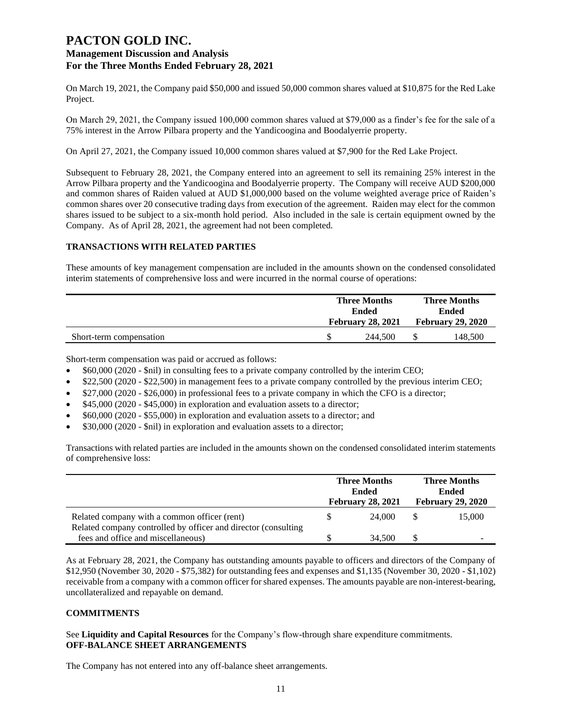On March 19, 2021, the Company paid \$50,000 and issued 50,000 common shares valued at \$10,875 for the Red Lake Project.

On March 29, 2021, the Company issued 100,000 common shares valued at \$79,000 as a finder's fee for the sale of a 75% interest in the Arrow Pilbara property and the Yandicoogina and Boodalyerrie property.

On April 27, 2021, the Company issued 10,000 common shares valued at \$7,900 for the Red Lake Project.

Subsequent to February 28, 2021, the Company entered into an agreement to sell its remaining 25% interest in the Arrow Pilbara property and the Yandicoogina and Boodalyerrie property. The Company will receive AUD \$200,000 and common shares of Raiden valued at AUD \$1,000,000 based on the volume weighted average price of Raiden's common shares over 20 consecutive trading days from execution of the agreement. Raiden may elect for the common shares issued to be subject to a six-month hold period. Also included in the sale is certain equipment owned by the Company. As of April 28, 2021, the agreement had not been completed.

#### **TRANSACTIONS WITH RELATED PARTIES**

These amounts of key management compensation are included in the amounts shown on the condensed consolidated interim statements of comprehensive loss and were incurred in the normal course of operations:

|                         | <b>Three Months</b><br><b>Ended</b> |                          | <b>Three Months</b>      |         |  |
|-------------------------|-------------------------------------|--------------------------|--------------------------|---------|--|
|                         |                                     |                          |                          | Ended   |  |
|                         |                                     | <b>February 28, 2021</b> | <b>February 29, 2020</b> |         |  |
| Short-term compensation |                                     | 244.500                  |                          | 148.500 |  |

Short-term compensation was paid or accrued as follows:

- \$60,000 (2020 \$nil) in consulting fees to a private company controlled by the interim CEO;
- \$22,500 (2020 \$22,500) in management fees to a private company controlled by the previous interim CEO;
- \$27,000 (2020 \$26,000) in professional fees to a private company in which the CFO is a director;
- \$45,000 (2020 \$45,000) in exploration and evaluation assets to a director;
- \$60,000 (2020 \$55,000) in exploration and evaluation assets to a director; and
- \$30,000 (2020 \$nil) in exploration and evaluation assets to a director;

Transactions with related parties are included in the amounts shown on the condensed consolidated interim statements of comprehensive loss:

|                                                                                                                | <b>Three Months</b><br><b>Ended</b><br><b>February 28, 2021</b> | <b>Three Months</b><br><b>Ended</b><br><b>February 29, 2020</b> |        |  |
|----------------------------------------------------------------------------------------------------------------|-----------------------------------------------------------------|-----------------------------------------------------------------|--------|--|
| Related company with a common officer (rent)<br>Related company controlled by officer and director (consulting | 24,000                                                          |                                                                 | 15,000 |  |
| fees and office and miscellaneous)                                                                             | 34,500                                                          |                                                                 | -      |  |

As at February 28, 2021, the Company has outstanding amounts payable to officers and directors of the Company of \$12,950 (November 30, 2020 - \$75,382) for outstanding fees and expenses and \$1,135 (November 30, 2020 - \$1,102) receivable from a company with a common officer for shared expenses. The amounts payable are non-interest-bearing, uncollateralized and repayable on demand.

#### **COMMITMENTS**

See **Liquidity and Capital Resources** for the Company's flow-through share expenditure commitments. **OFF-BALANCE SHEET ARRANGEMENTS**

The Company has not entered into any off-balance sheet arrangements.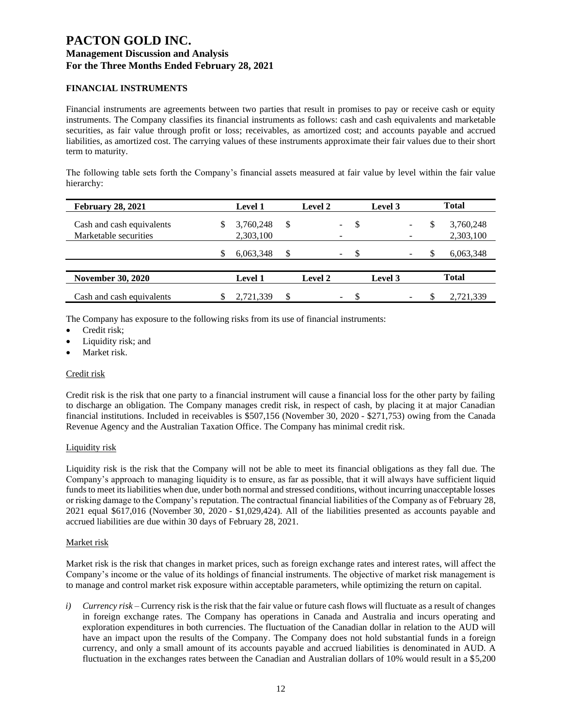### **FINANCIAL INSTRUMENTS**

Financial instruments are agreements between two parties that result in promises to pay or receive cash or equity instruments. The Company classifies its financial instruments as follows: cash and cash equivalents and marketable securities, as fair value through profit or loss; receivables, as amortized cost; and accounts payable and accrued liabilities, as amortized cost. The carrying values of these instruments approximate their fair values due to their short term to maturity.

The following table sets forth the Company's financial assets measured at fair value by level within the fair value hierarchy:

| <b>February 28, 2021</b>  |   | <b>Level 1</b> |    | Level 2 |    |     | Level 3 |   | <b>Total</b> |
|---------------------------|---|----------------|----|---------|----|-----|---------|---|--------------|
| Cash and cash equivalents | S | 3,760,248      | S  |         |    | \$  |         | S | 3,760,248    |
| Marketable securities     |   | 2,303,100      |    |         |    |     |         |   | 2,303,100    |
|                           | S | 6,063,348      | S  |         |    | \$. |         |   | 6,063,348    |
|                           |   |                |    |         |    |     |         |   |              |
| <b>November 30, 2020</b>  |   | <b>Level 1</b> |    | Level 2 |    |     | Level 3 |   | <b>Total</b> |
| Cash and cash equivalents |   | 2,721,339      | \$ |         | ۰. |     |         |   | 2,721,339    |

The Company has exposure to the following risks from its use of financial instruments:

- Credit risk:
- Liquidity risk; and
- Market risk.

### Credit risk

Credit risk is the risk that one party to a financial instrument will cause a financial loss for the other party by failing to discharge an obligation. The Company manages credit risk, in respect of cash, by placing it at major Canadian financial institutions. Included in receivables is \$507,156 (November 30, 2020 - \$271,753) owing from the Canada Revenue Agency and the Australian Taxation Office. The Company has minimal credit risk.

#### Liquidity risk

Liquidity risk is the risk that the Company will not be able to meet its financial obligations as they fall due. The Company's approach to managing liquidity is to ensure, as far as possible, that it will always have sufficient liquid funds to meet its liabilities when due, under both normal and stressed conditions, without incurring unacceptable losses or risking damage to the Company's reputation. The contractual financial liabilities of the Company as of February 28, 2021 equal \$617,016 (November 30, 2020 - \$1,029,424). All of the liabilities presented as accounts payable and accrued liabilities are due within 30 days of February 28, 2021.

### Market risk

Market risk is the risk that changes in market prices, such as foreign exchange rates and interest rates, will affect the Company's income or the value of its holdings of financial instruments. The objective of market risk management is to manage and control market risk exposure within acceptable parameters, while optimizing the return on capital.

*i*) *Currency risk* – Currency risk is the risk that the fair value or future cash flows will fluctuate as a result of changes in foreign exchange rates. The Company has operations in Canada and Australia and incurs operating and exploration expenditures in both currencies. The fluctuation of the Canadian dollar in relation to the AUD will have an impact upon the results of the Company. The Company does not hold substantial funds in a foreign currency, and only a small amount of its accounts payable and accrued liabilities is denominated in AUD. A fluctuation in the exchanges rates between the Canadian and Australian dollars of 10% would result in a \$5,200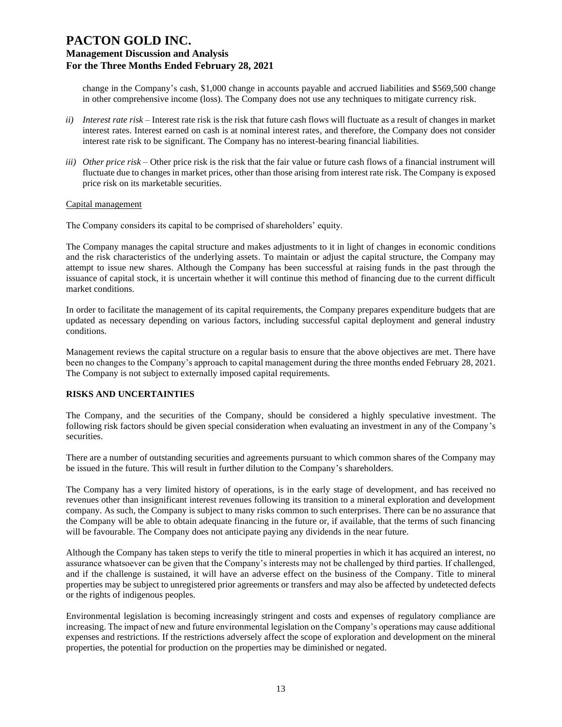change in the Company's cash, \$1,000 change in accounts payable and accrued liabilities and \$569,500 change in other comprehensive income (loss). The Company does not use any techniques to mitigate currency risk.

- *ii) Interest rate risk –* Interest rate risk is the risk that future cash flows will fluctuate as a result of changes in market interest rates. Interest earned on cash is at nominal interest rates, and therefore, the Company does not consider interest rate risk to be significant. The Company has no interest-bearing financial liabilities.
- *iii) Other price risk –* Other price risk is the risk that the fair value or future cash flows of a financial instrument will fluctuate due to changes in market prices, other than those arising from interest rate risk. The Company is exposed price risk on its marketable securities.

#### Capital management

The Company considers its capital to be comprised of shareholders' equity.

The Company manages the capital structure and makes adjustments to it in light of changes in economic conditions and the risk characteristics of the underlying assets. To maintain or adjust the capital structure, the Company may attempt to issue new shares. Although the Company has been successful at raising funds in the past through the issuance of capital stock, it is uncertain whether it will continue this method of financing due to the current difficult market conditions.

In order to facilitate the management of its capital requirements, the Company prepares expenditure budgets that are updated as necessary depending on various factors, including successful capital deployment and general industry conditions.

Management reviews the capital structure on a regular basis to ensure that the above objectives are met. There have been no changes to the Company's approach to capital management during the three months ended February 28, 2021. The Company is not subject to externally imposed capital requirements.

### **RISKS AND UNCERTAINTIES**

The Company, and the securities of the Company, should be considered a highly speculative investment. The following risk factors should be given special consideration when evaluating an investment in any of the Company's securities.

There are a number of outstanding securities and agreements pursuant to which common shares of the Company may be issued in the future. This will result in further dilution to the Company's shareholders.

The Company has a very limited history of operations, is in the early stage of development, and has received no revenues other than insignificant interest revenues following its transition to a mineral exploration and development company. As such, the Company is subject to many risks common to such enterprises. There can be no assurance that the Company will be able to obtain adequate financing in the future or, if available, that the terms of such financing will be favourable. The Company does not anticipate paying any dividends in the near future.

Although the Company has taken steps to verify the title to mineral properties in which it has acquired an interest, no assurance whatsoever can be given that the Company's interests may not be challenged by third parties. If challenged, and if the challenge is sustained, it will have an adverse effect on the business of the Company. Title to mineral properties may be subject to unregistered prior agreements or transfers and may also be affected by undetected defects or the rights of indigenous peoples.

Environmental legislation is becoming increasingly stringent and costs and expenses of regulatory compliance are increasing. The impact of new and future environmental legislation on the Company's operations may cause additional expenses and restrictions. If the restrictions adversely affect the scope of exploration and development on the mineral properties, the potential for production on the properties may be diminished or negated.